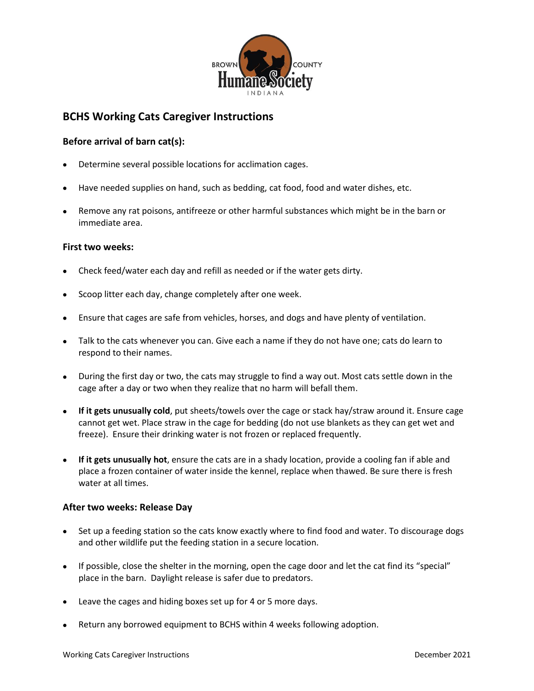

# **BCHS Working Cats Caregiver Instructions**

### **Before arrival of barn cat(s):**

- Determine several possible locations for acclimation cages.
- Have needed supplies on hand, such as bedding, cat food, food and water dishes, etc.
- Remove any rat poisons, antifreeze or other harmful substances which might be in the barn or immediate area.

#### **First two weeks:**

- Check feed/water each day and refill as needed or if the water gets dirty.
- Scoop litter each day, change completely after one week.
- Ensure that cages are safe from vehicles, horses, and dogs and have plenty of ventilation.
- Talk to the cats whenever you can. Give each a name if they do not have one; cats do learn to respond to their names.
- During the first day or two, the cats may struggle to find a way out. Most cats settle down in the cage after a day or two when they realize that no harm will befall them.
- **If it gets unusually cold**, put sheets/towels over the cage or stack hay/straw around it. Ensure cage cannot get wet. Place straw in the cage for bedding (do not use blankets as they can get wet and freeze). Ensure their drinking water is not frozen or replaced frequently.
- **If it gets unusually hot**, ensure the cats are in a shady location, provide a cooling fan if able and place a frozen container of water inside the kennel, replace when thawed. Be sure there is fresh water at all times.

#### **After two weeks: Release Day**

- Set up a feeding station so the cats know exactly where to find food and water. To discourage dogs and other wildlife put the feeding station in a secure location.
- If possible, close the shelter in the morning, open the cage door and let the cat find its "special" place in the barn. Daylight release is safer due to predators.
- Leave the cages and hiding boxes set up for 4 or 5 more days.
- Return any borrowed equipment to BCHS within 4 weeks following adoption.